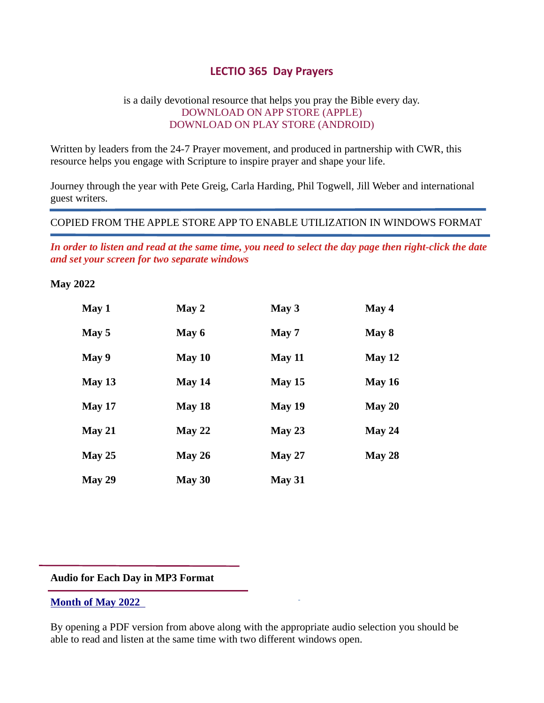# LECTIO 365 Day Prayers

# is a daily devotional resource that helps you pray the Bible every day. DOWNLOAD ON APP STORE (APPLE) DOWNLOAD ON PLAY STORE (ANDROID)

Written by leaders from the 24-7 Prayer movement, and produced in partnership with CWR, this resource helps you engage with Scripture to inspire prayer and shape your life.

Journey through the year with Pete Greig, Carla Harding, Phil Togwell, Jill Weber and international guest writers.

# COPIED FROM THE APPLE STORE APP TO ENABLE UTILIZATION IN WINDOWS FORMAT

In order to listen and read at the same time, you need to select the day page then right-click the date and set your screen for two separate windows

# May 2022

| May 1    | May 2    | May $3$       | May 4    |
|----------|----------|---------------|----------|
| May 5    | May 6    | May 7         | May 8    |
| May 9    | May $10$ | <b>May 11</b> | May 12   |
| May $13$ | May $14$ | May 15        | May $16$ |
| May 17   | May $18$ | May 19        | May $20$ |
| May 21   | May 22   | May 23        | May $24$ |
| May 25   | May $26$ | May 27        | May 28   |
| May 29   | May 30   | May 31        |          |

#### Audio for Each Day in MP3 Format

# Month of May 2022

By opening a PDF version from above along with the appropriate audio selection you should be able to read and listen at the same time with two different windows open.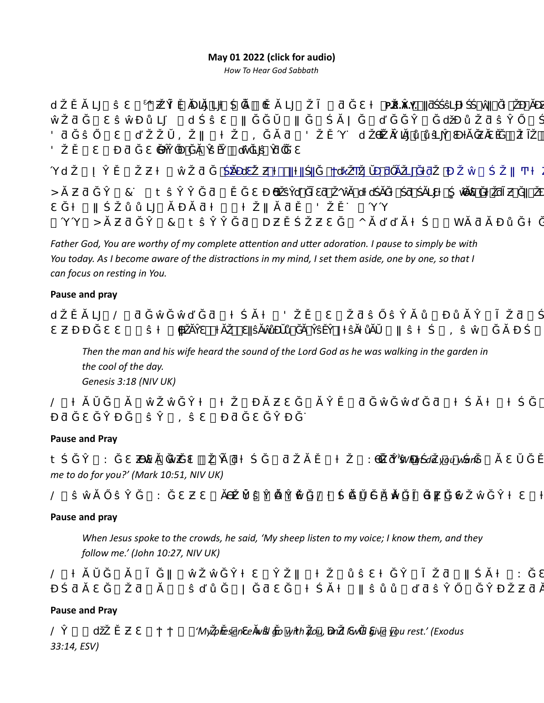# May 01 2022 (click for audio)

How To Hear God Sabbath



Father God, You are worthy of my complete attention and utter adoration. I pause to simply be with You today. As I become aware of the distractions in my mind, I set them aside, one by one, so that I can focus on resting in You.

#### Pause and pray

| the contract of the contract of the contract of the contract of the contract of the contract of the contract of |
|-----------------------------------------------------------------------------------------------------------------|

Then the man and his wife heard the sound of the Lord God as he was walking in the garden in the cool of the day. Genesis 3:18 (NIV UK)

 $\circledR$  , and  $\circledR$  , and  $\circledR$   $\circledR$   $\circledR$   $\circledR$   $\circledR$   $\circledR$   $\circledR$   $\circledR$   $\circledR$   $\circledR$   $\circledR$   $\circledR$   $\circledR$   $\circledR$   $\circledR$   $\circledR$   $\circledR$   $\circledR$   $\circledR$   $\circledR$   $\circledR$   $\circledR$   $\circledR$   $\circledR$   $\circledR$   $\circledR$   $\circledR$   $\circledR$ van de Sovjetsko van de Sovjetsko van de Sovjetsko van de Sovjetsko van de Sovjetsko van de Sovjetsko van de

### Pause and Pray

| $\ddagger$ |                                         | and the contract of the contract of | the control of the control of the control of the con-                                                                                                                                                                                                                 |  | 'What do you want |
|------------|-----------------------------------------|-------------------------------------|-----------------------------------------------------------------------------------------------------------------------------------------------------------------------------------------------------------------------------------------------------------------------|--|-------------------|
|            | me to do for you?' (Mark 10:51, NIV UK) |                                     |                                                                                                                                                                                                                                                                       |  |                   |
| @          |                                         |                                     | $\alpha$ . The contract of $\alpha$ is the contract of $\alpha$ is the contract of $\alpha$ is the contract of $\alpha$ is the contract of $\alpha$ is the contract of $\alpha$ is the contract of $\alpha$ is the contract of $\alpha$ is the contract of $\alpha$ i |  |                   |

### Pause and pray

When Jesus spoke to the crowds, he said, 'My sheep listen to my voice; I know them, and they follow me.' (John 10:27, NIV UK)

|  |  |  |  | $\widehat{\omega}$ . The contract of the contract of the contract of the contract of the contract of the contract of the contract of the contract of the contract of the contract of the contract of the contract of the contract of th |  |
|--|--|--|--|-----------------------------------------------------------------------------------------------------------------------------------------------------------------------------------------------------------------------------------------|--|
|  |  |  |  |                                                                                                                                                                                                                                         |  |

# Pause and Pray

 $\emptyset$   $\blacksquare$   $\blacksquare$   $\blacksquare$  'My presence will go with you, and I will give you rest.' (Exodus 33:14, ESV)